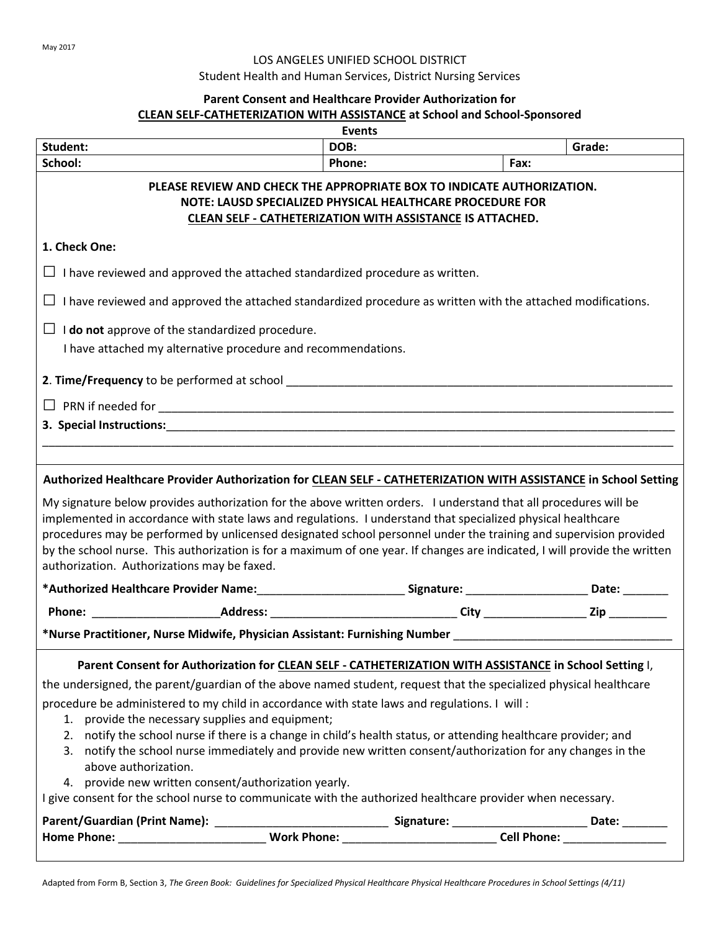## LOS ANGELES UNIFIED SCHOOL DISTRICT

Student Health and Human Services, District Nursing Services

## **Parent Consent and Healthcare Provider Authorization for CLEAN SELF-CATHETERIZATION WITH ASSISTANCE at School and School-Sponsored**

|                                                                                                                                                                                                                                                                                                                                                                                                                                                                                                                                    | Events |      |        |  |
|------------------------------------------------------------------------------------------------------------------------------------------------------------------------------------------------------------------------------------------------------------------------------------------------------------------------------------------------------------------------------------------------------------------------------------------------------------------------------------------------------------------------------------|--------|------|--------|--|
| Student:                                                                                                                                                                                                                                                                                                                                                                                                                                                                                                                           | DOB:   |      | Grade: |  |
| School:                                                                                                                                                                                                                                                                                                                                                                                                                                                                                                                            | Phone: | Fax: |        |  |
| PLEASE REVIEW AND CHECK THE APPROPRIATE BOX TO INDICATE AUTHORIZATION.<br>NOTE: LAUSD SPECIALIZED PHYSICAL HEALTHCARE PROCEDURE FOR<br><b>CLEAN SELF - CATHETERIZATION WITH ASSISTANCE IS ATTACHED.</b>                                                                                                                                                                                                                                                                                                                            |        |      |        |  |
| 1. Check One:                                                                                                                                                                                                                                                                                                                                                                                                                                                                                                                      |        |      |        |  |
| I have reviewed and approved the attached standardized procedure as written.                                                                                                                                                                                                                                                                                                                                                                                                                                                       |        |      |        |  |
| I have reviewed and approved the attached standardized procedure as written with the attached modifications.<br>ப                                                                                                                                                                                                                                                                                                                                                                                                                  |        |      |        |  |
| $\Box$ <b>I do not</b> approve of the standardized procedure.<br>I have attached my alternative procedure and recommendations.                                                                                                                                                                                                                                                                                                                                                                                                     |        |      |        |  |
|                                                                                                                                                                                                                                                                                                                                                                                                                                                                                                                                    |        |      |        |  |
| $\Box$                                                                                                                                                                                                                                                                                                                                                                                                                                                                                                                             |        |      |        |  |
|                                                                                                                                                                                                                                                                                                                                                                                                                                                                                                                                    |        |      |        |  |
|                                                                                                                                                                                                                                                                                                                                                                                                                                                                                                                                    |        |      |        |  |
| Authorized Healthcare Provider Authorization for CLEAN SELF - CATHETERIZATION WITH ASSISTANCE in School Setting                                                                                                                                                                                                                                                                                                                                                                                                                    |        |      |        |  |
| My signature below provides authorization for the above written orders. I understand that all procedures will be<br>implemented in accordance with state laws and regulations. I understand that specialized physical healthcare<br>procedures may be performed by unlicensed designated school personnel under the training and supervision provided<br>by the school nurse. This authorization is for a maximum of one year. If changes are indicated, I will provide the written<br>authorization. Authorizations may be faxed. |        |      |        |  |
| *Authorized Healthcare Provider Name:____________________________Signature: _______________________Date: ________                                                                                                                                                                                                                                                                                                                                                                                                                  |        |      |        |  |
| Phone: ____________________________Address: _________________________________City ____________________Zip ___________                                                                                                                                                                                                                                                                                                                                                                                                              |        |      |        |  |
| *Nurse Practitioner, Nurse Midwife, Physician Assistant: Furnishing Number ___________________________________                                                                                                                                                                                                                                                                                                                                                                                                                     |        |      |        |  |
| Parent Consent for Authorization for CLEAN SELF - CATHETERIZATION WITH ASSISTANCE in School Setting I,                                                                                                                                                                                                                                                                                                                                                                                                                             |        |      |        |  |
| the undersigned, the parent/guardian of the above named student, request that the specialized physical healthcare                                                                                                                                                                                                                                                                                                                                                                                                                  |        |      |        |  |
| procedure be administered to my child in accordance with state laws and regulations. I will :<br>1. provide the necessary supplies and equipment;<br>2. notify the school nurse if there is a change in child's health status, or attending healthcare provider; and                                                                                                                                                                                                                                                               |        |      |        |  |
| 3. notify the school nurse immediately and provide new written consent/authorization for any changes in the<br>above authorization.                                                                                                                                                                                                                                                                                                                                                                                                |        |      |        |  |
| provide new written consent/authorization yearly.<br>4.<br>I give consent for the school nurse to communicate with the authorized healthcare provider when necessary.                                                                                                                                                                                                                                                                                                                                                              |        |      |        |  |
|                                                                                                                                                                                                                                                                                                                                                                                                                                                                                                                                    |        |      | Date:  |  |
|                                                                                                                                                                                                                                                                                                                                                                                                                                                                                                                                    |        |      |        |  |